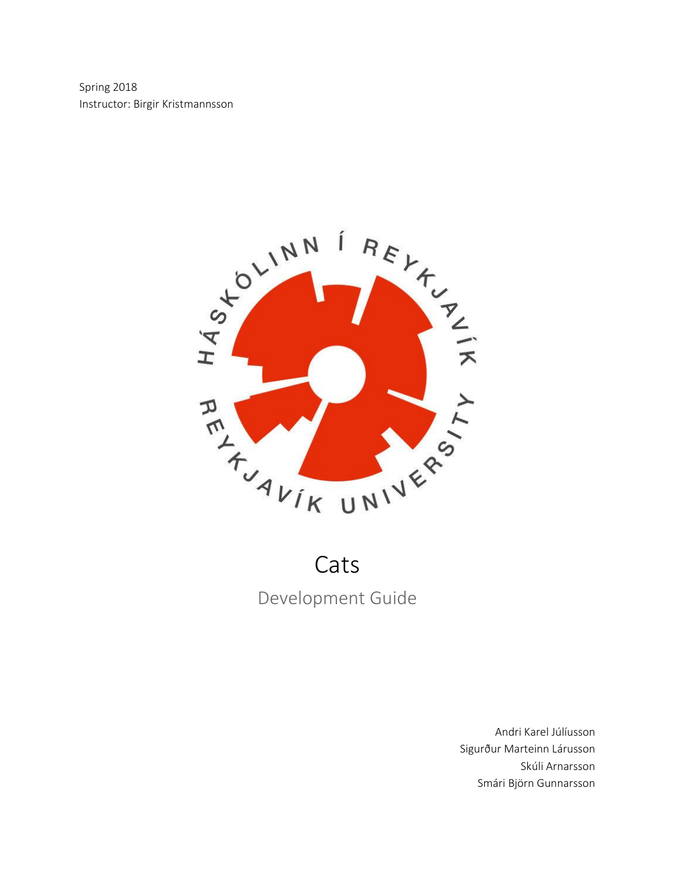Spring 2018 Instructor: Birgir Kristmannsson



# Cats Development Guide

Andri Karel Júlíusson Sigurður Marteinn Lárusson Skúli Arnarsson Smári Björn Gunnarsson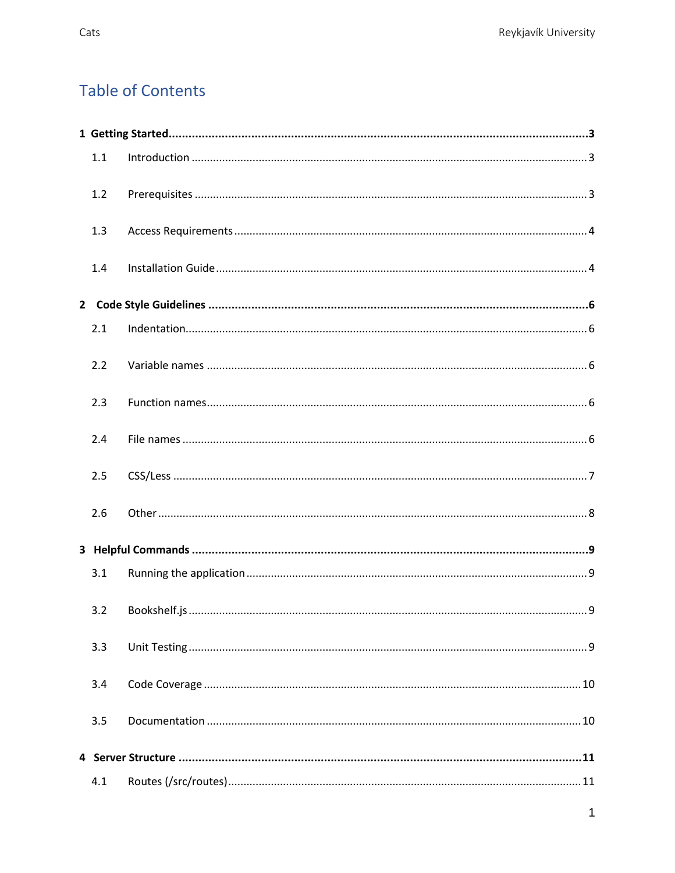# **Table of Contents**

| 1.1 |  |  |
|-----|--|--|
| 1.2 |  |  |
| 1.3 |  |  |
| 1.4 |  |  |
|     |  |  |
| 2.1 |  |  |
| 2.2 |  |  |
| 2.3 |  |  |
| 2.4 |  |  |
| 2.5 |  |  |
| 2.6 |  |  |
|     |  |  |
| 3.1 |  |  |
| 3.2 |  |  |
| 3.3 |  |  |
| 3.4 |  |  |
| 3.5 |  |  |
|     |  |  |
| 4.1 |  |  |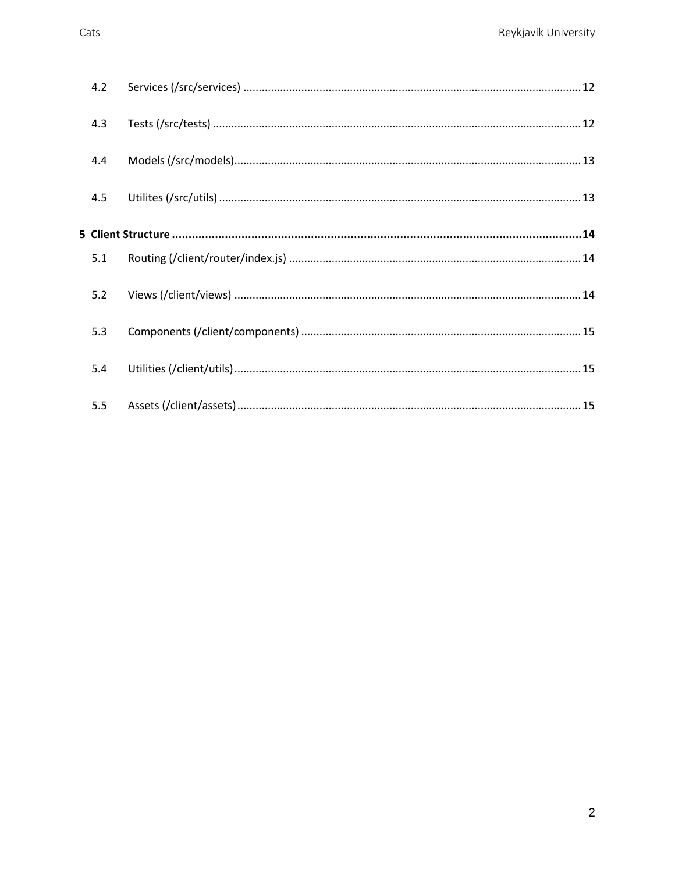| 4.2 |  |  |  |  |  |
|-----|--|--|--|--|--|
| 4.3 |  |  |  |  |  |
| 4.4 |  |  |  |  |  |
| 4.5 |  |  |  |  |  |
|     |  |  |  |  |  |
| 5.1 |  |  |  |  |  |
| 5.2 |  |  |  |  |  |
| 5.3 |  |  |  |  |  |
| 5.4 |  |  |  |  |  |
| 5.5 |  |  |  |  |  |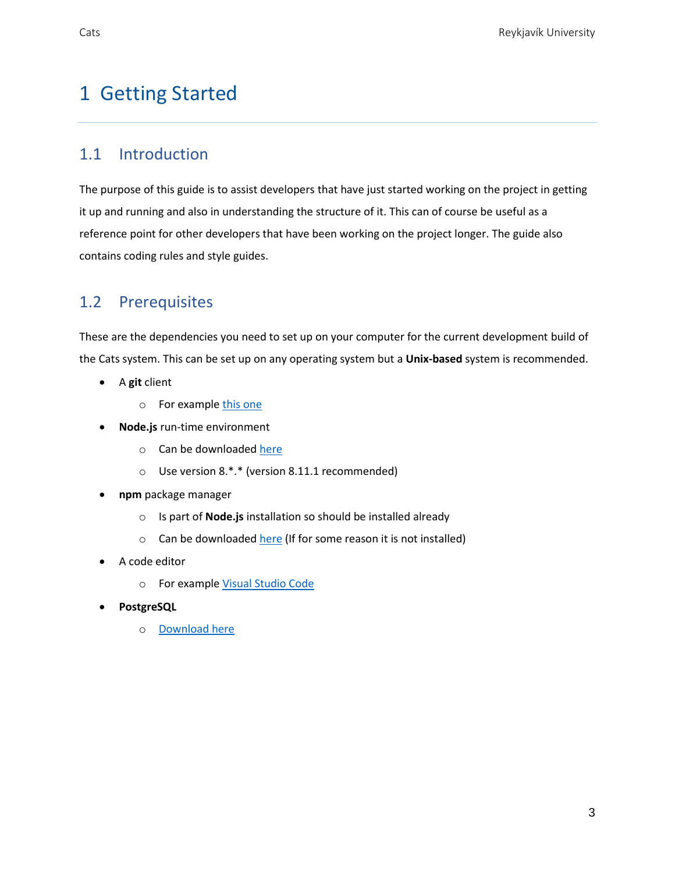# <span id="page-3-0"></span>1 Getting Started

#### <span id="page-3-1"></span>1.1 Introduction

The purpose of this guide is to assist developers that have just started working on the project in getting it up and running and also in understanding the structure of it. This can of course be useful as a reference point for other developers that have been working on the project longer. The guide also contains coding rules and style guides.

### <span id="page-3-2"></span>1.2 Prerequisites

These are the dependencies you need to set up on your computer for the current development build of the Cats system. This can be set up on any operating system but a **Unix-based** system is recommended.

- A **git** client
	- o For exampl[e this one](https://git-scm.com/downloads)
- **Node.js** run-time environment
	- o Can be downloade[d here](https://nodejs.org/en/)
	- o Use version 8.\*.\* (version 8.11.1 recommended)
- **npm** package manager
	- o Is part of **Node.js** installation so should be installed already
	- o Can be downloade[d here](https://www.npmjs.com/get-npm) (If for some reason it is not installed)
- A code editor
	- o For exampl[e Visual Studio Code](https://code.visualstudio.com/)
- **PostgreSQL**
	- o [Download here](https://www.postgresql.org/download/)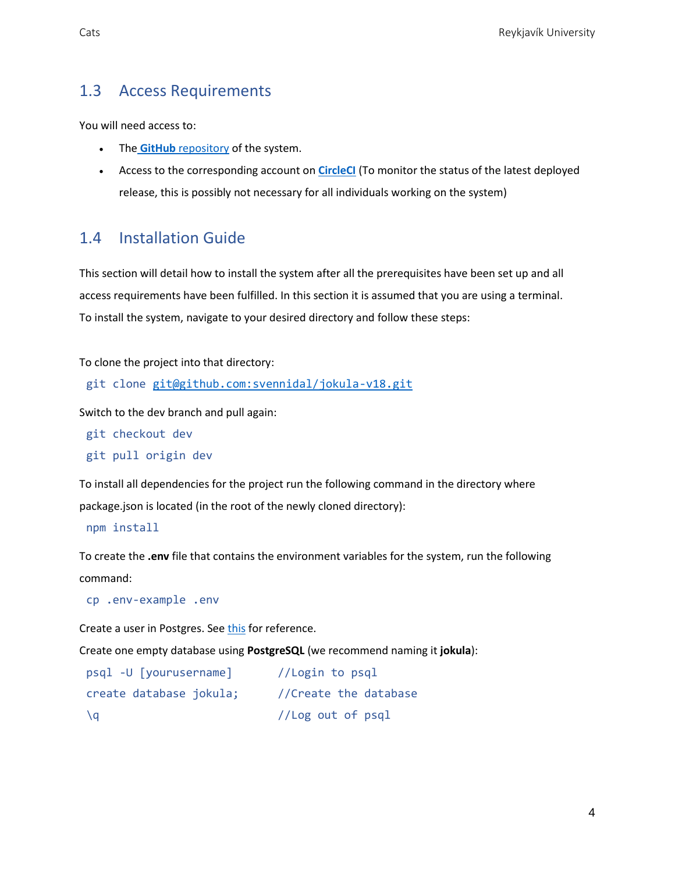# <span id="page-4-0"></span>1.3 Access Requirements

You will need access to:

- The **GitHub** [repository](https://github.com/svennidal/jokula-v18) of the system.
- Access to the corresponding account on **[CircleCI](https://circleci.com/)** (To monitor the status of the latest deployed release, this is possibly not necessary for all individuals working on the system)

#### <span id="page-4-1"></span>1.4 Installation Guide

This section will detail how to install the system after all the prerequisites have been set up and all access requirements have been fulfilled. In this section it is assumed that you are using a terminal. To install the system, navigate to your desired directory and follow these steps:

To clone the project into that directory:

git clone [git@github.com:svennidal/jokula-v18.git](mailto:git@github.com:svennidal/jokula-v18.git)

Switch to the dev branch and pull again:

git checkout dev

```
git pull origin dev
```
To install all dependencies for the project run the following command in the directory where package.json is located (in the root of the newly cloned directory):

npm install

To create the **.env** file that contains the environment variables for the system, run the following command:

cp .env-example .env

Create a user in Postgres. Se[e this](https://www.postgresql.org/docs/9.1/static/app-createuser.html) for reference.

Create one empty database using **PostgreSQL** (we recommend naming it **jokula**):

| psql -U [yourusername]  | //Login to psql       |  |
|-------------------------|-----------------------|--|
| create database jokula; | //Create the database |  |
| \a                      | //Log out of psql     |  |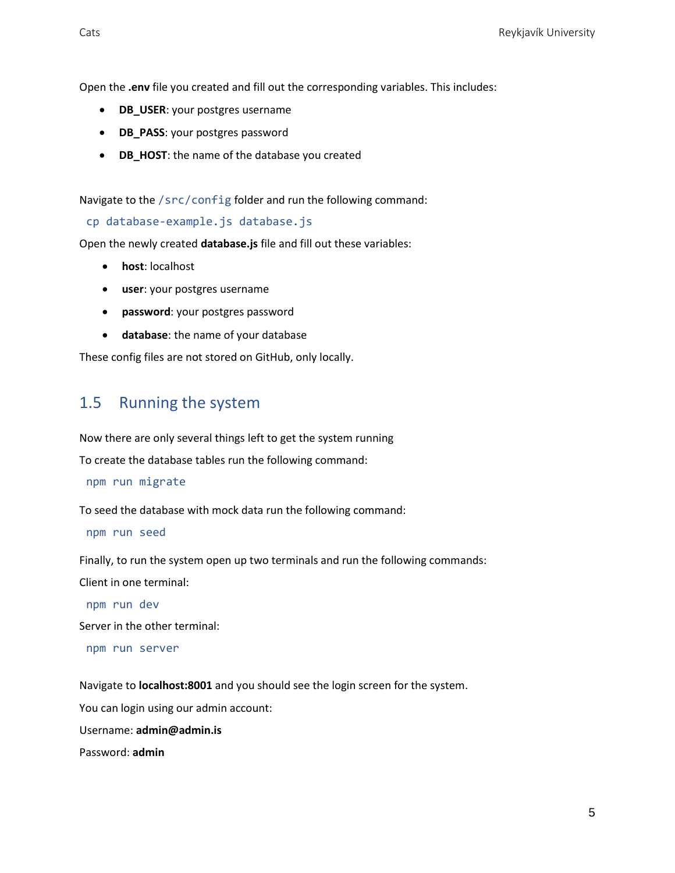Open the **.env** file you created and fill out the corresponding variables. This includes:

- **DB\_USER**: your postgres username
- **DB\_PASS**: your postgres password
- **DB\_HOST**: the name of the database you created

Navigate to the /src/config folder and run the following command:

cp database-example.js database.js

Open the newly created **database.js** file and fill out these variables:

- **host**: localhost
- **user**: your postgres username
- **password**: your postgres password
- **database**: the name of your database

These config files are not stored on GitHub, only locally.

#### 1.5 Running the system

Now there are only several things left to get the system running

To create the database tables run the following command:

npm run migrate

To seed the database with mock data run the following command:

npm run seed

Finally, to run the system open up two terminals and run the following commands:

Client in one terminal:

npm run dev

Server in the other terminal:

npm run server

Navigate to **localhost:8001** and you should see the login screen for the system.

You can login using our admin account:

Username: **admin@admin.is**

Password: **admin**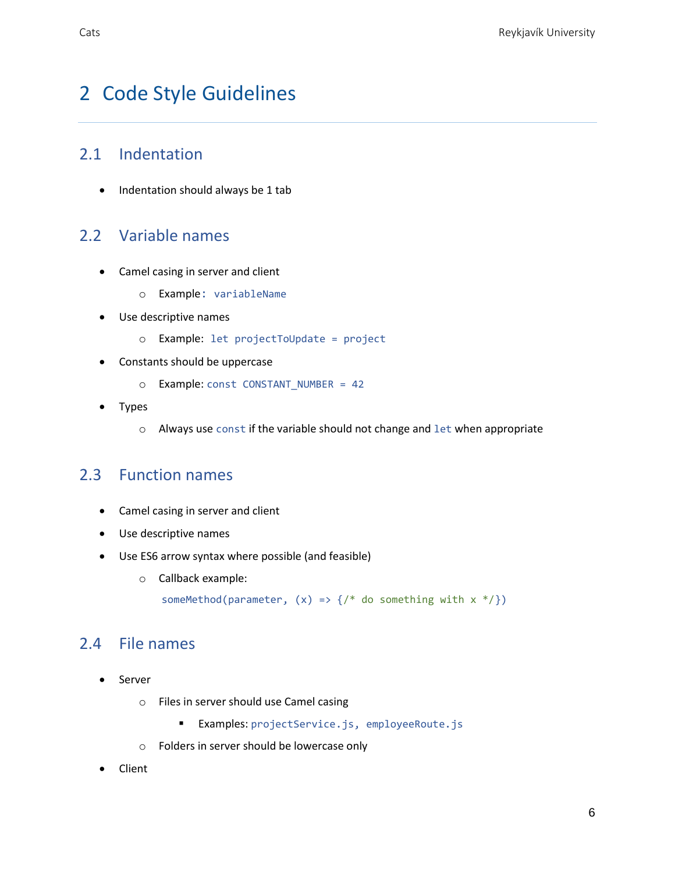# <span id="page-6-0"></span>2 Code Style Guidelines

## <span id="page-6-1"></span>2.1 Indentation

• Indentation should always be 1 tab

### <span id="page-6-2"></span>2.2 Variable names

- Camel casing in server and client
	- o Example: variableName
- Use descriptive names
	- o Example: let projectToUpdate = project
- Constants should be uppercase
	- o Example: const CONSTANT\_NUMBER = 42
- Types
	- o Always use const if the variable should not change and let when appropriate

#### <span id="page-6-3"></span>2.3 Function names

- Camel casing in server and client
- Use descriptive names
- Use ES6 arrow syntax where possible (and feasible)
	- o Callback example:

someMethod(parameter,  $(x) \Rightarrow$  {/\* do something with  $x * /$ })

#### <span id="page-6-4"></span>2.4 File names

- Server
	- o Files in server should use Camel casing
		- Examples: projectService.js, employeeRoute.js
	- o Folders in server should be lowercase only
- Client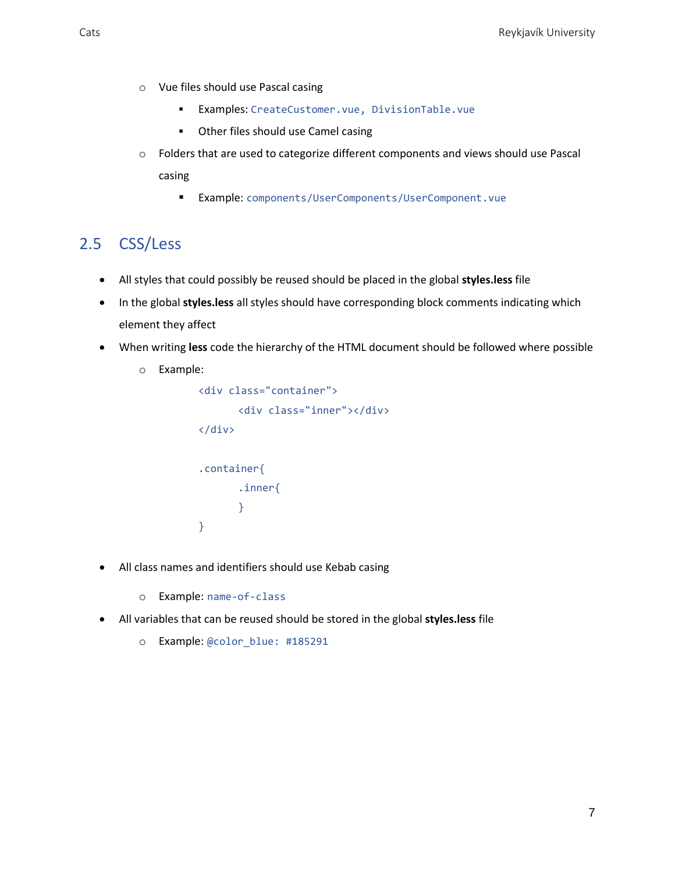- o Vue files should use Pascal casing
	- Examples: CreateCustomer.vue, DivisionTable.vue
	- Other files should use Camel casing
- o Folders that are used to categorize different components and views should use Pascal casing
	- Example: components/UserComponents/UserComponent.vue

# <span id="page-7-0"></span>2.5 CSS/Less

- All styles that could possibly be reused should be placed in the global **styles.less** file
- In the global **styles.less** all styles should have corresponding block comments indicating which element they affect
- When writing **less** code the hierarchy of the HTML document should be followed where possible
	- o Example:

```
<div class="container">
      <div class="inner"></div>
</div>
.container{
      .inner{
      }
}
```
- All class names and identifiers should use Kebab casing
	- o Example: name-of-class
- All variables that can be reused should be stored in the global **styles.less** file
	- o Example: @color\_blue: #185291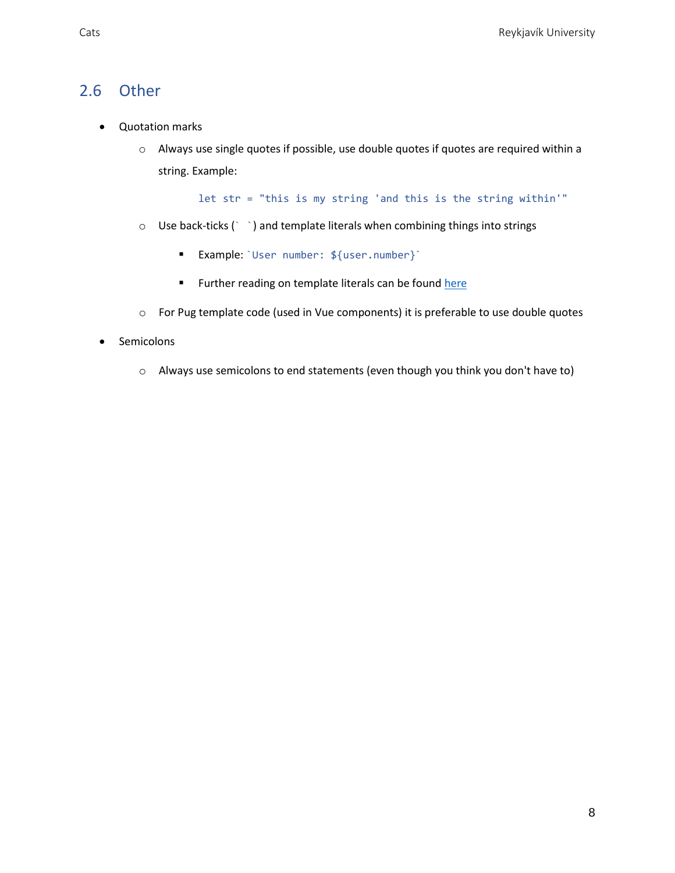#### <span id="page-8-0"></span>2.6 Other

- Quotation marks
	- o Always use single quotes if possible, use double quotes if quotes are required within a string. Example:

let str = "this is my string 'and this is the string within'"

- o Use back-ticks (` `) and template literals when combining things into strings
	- Example: `User number: \${user.number}`
	- **EXECT** Further reading on template literals can be found [here](https://developer.mozilla.org/en-US/docs/Web/JavaScript/Reference/Template_literals)
- o For Pug template code (used in Vue components) it is preferable to use double quotes
- Semicolons
	- o Always use semicolons to end statements (even though you think you don't have to)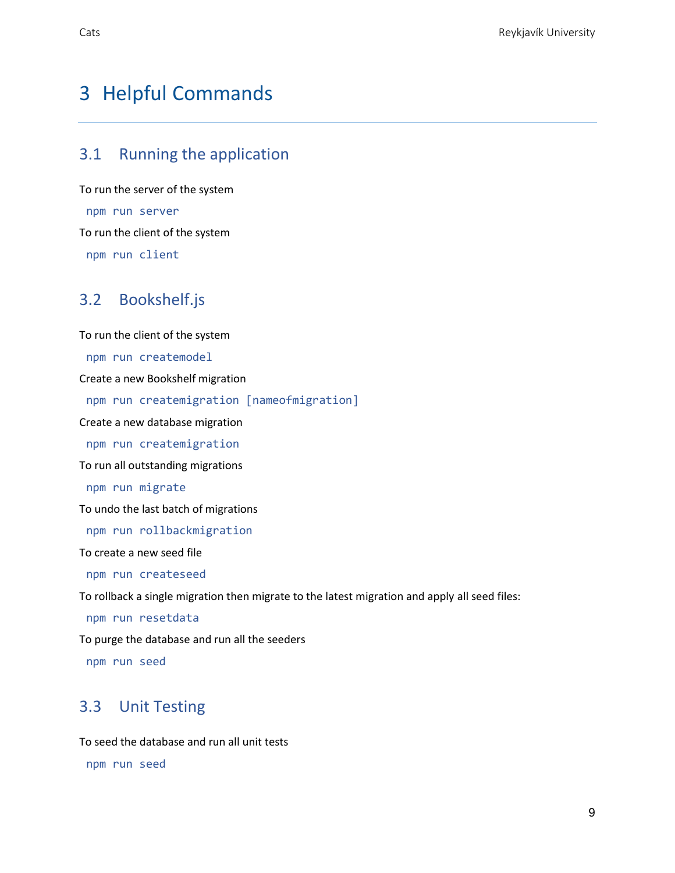# <span id="page-9-0"></span>3 Helpful Commands

# <span id="page-9-1"></span>3.1 Running the application

To run the server of the system npm run server To run the client of the system npm run client

#### <span id="page-9-2"></span>3.2 Bookshelf.js

To run the client of the system npm run createmodel Create a new Bookshelf migration npm run createmigration [nameofmigration] Create a new database migration npm run createmigration To run all outstanding migrations npm run migrate To undo the last batch of migrations npm run rollbackmigration To create a new seed file npm run createseed To rollback a single migration then migrate to the latest migration and apply all seed files: npm run resetdata To purge the database and run all the seeders

<span id="page-9-3"></span>npm run seed

# 3.3 Unit Testing

To seed the database and run all unit tests

npm run seed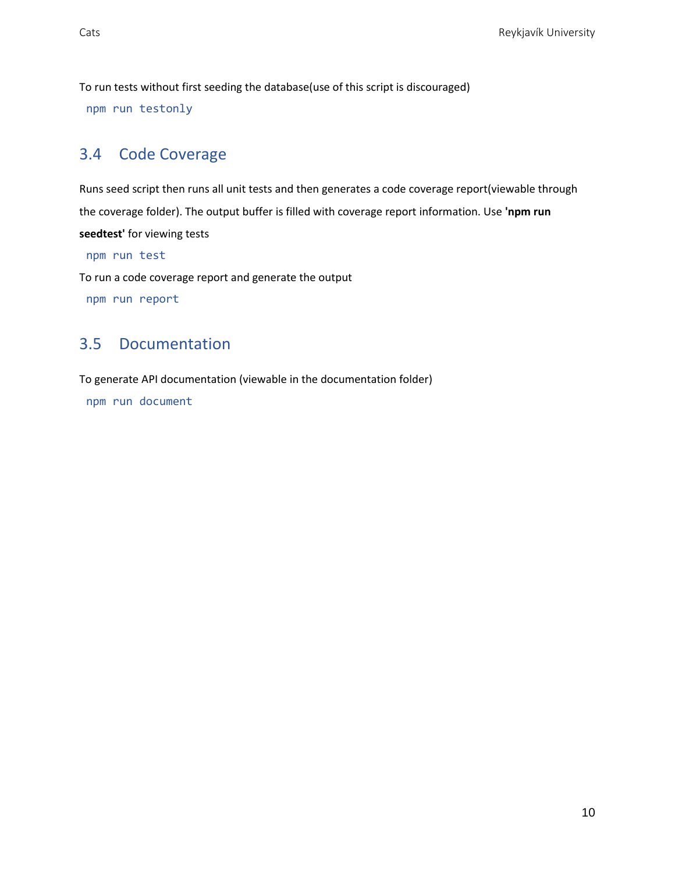To run tests without first seeding the database(use of this script is discouraged)

npm run testonly

# <span id="page-10-0"></span>3.4 Code Coverage

Runs seed script then runs all unit tests and then generates a code coverage report(viewable through the coverage folder). The output buffer is filled with coverage report information. Use **'npm run seedtest'** for viewing tests

npm run test

To run a code coverage report and generate the output

<span id="page-10-1"></span>npm run report

### 3.5 Documentation

To generate API documentation (viewable in the documentation folder)

npm run document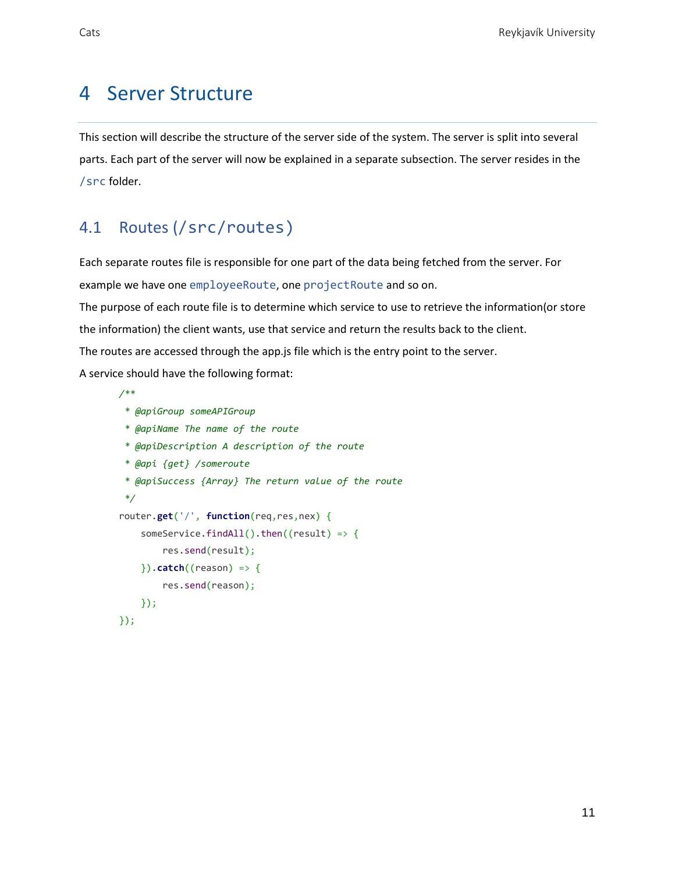# <span id="page-11-0"></span>4 Server Structure

This section will describe the structure of the server side of the system. The server is split into several parts. Each part of the server will now be explained in a separate subsection. The server resides in the /src folder.

### <span id="page-11-1"></span>4.1 Routes (/src/routes)

Each separate routes file is responsible for one part of the data being fetched from the server. For example we have one employeeRoute, one projectRoute and so on.

The purpose of each route file is to determine which service to use to retrieve the information(or store

the information) the client wants, use that service and return the results back to the client.

The routes are accessed through the app.js file which is the entry point to the server.

A service should have the following format:

```
/**
 * @apiGroup someAPIGroup
 * @apiName The name of the route
 * @apiDescription A description of the route
 * @api {get} /someroute
 * @apiSuccess {Array} The return value of the route
 */
router.get('/', function(req,res,nex) {
    someService.findAll().then((result) => {
        res.send(result);
    }).catch((reason) => {
        res.send(reason);
    });
});
```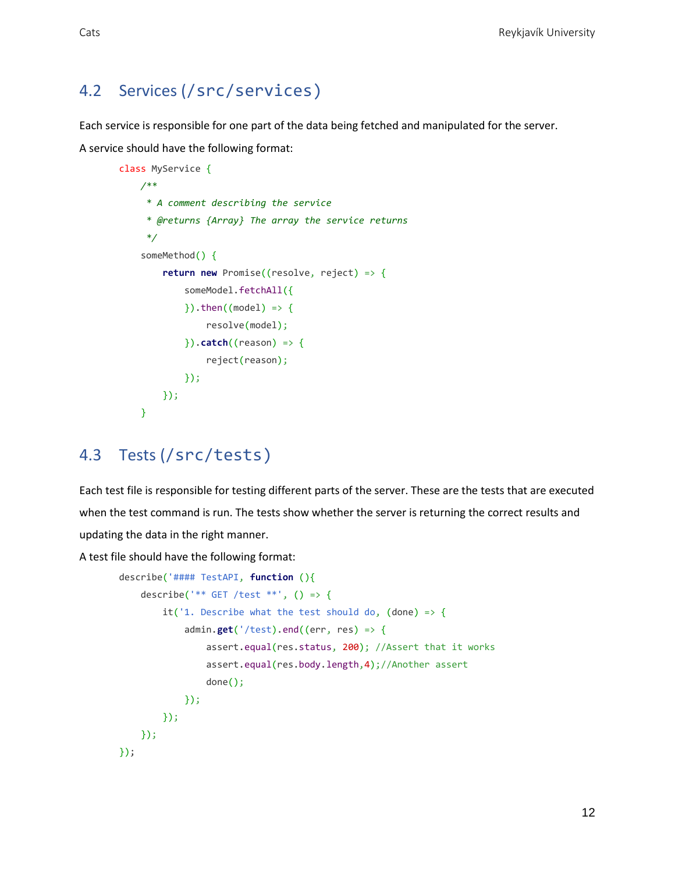### <span id="page-12-0"></span>4.2 Services (/src/services)

Each service is responsible for one part of the data being fetched and manipulated for the server.

A service should have the following format:

```
class MyService {
     /**
     * A comment describing the service
     * @returns {Array} The array the service returns
     */
    someMethod() {
         return new Promise((resolve, reject) => {
            someModel.fetchAll({
            \}).then((model) => {
                resolve(model);
             }).catch((reason) => {
                reject(reason);
             });
         });
     }
```
#### <span id="page-12-1"></span>4.3 Tests (/src/tests)

Each test file is responsible for testing different parts of the server. These are the tests that are executed when the test command is run. The tests show whether the server is returning the correct results and updating the data in the right manner.

A test file should have the following format:

```
describe('#### TestAPI, function (){
   describe('** GET /test **', () => {
        it('1. Describe what the test should do, (done) => {
            admin.get('/test).end((err, res) => {
                assert.equal(res.status, 200); //Assert that it works
                assert.equal(res.body.length,4);//Another assert
                done();
             });
         });
    });
});
```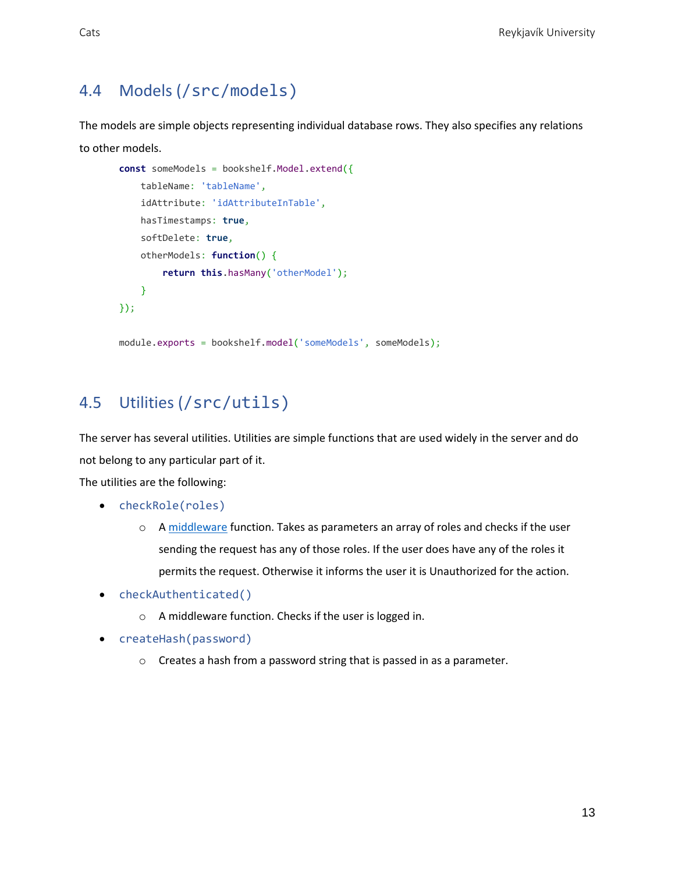#### <span id="page-13-0"></span>4.4 Models (/src/models)

The models are simple objects representing individual database rows. They also specifies any relations to other models.

```
const someModels = bookshelf.Model.extend({
   tableName: 'tableName',
    idAttribute: 'idAttributeInTable',
   hasTimestamps: true,
   softDelete: true,
   otherModels: function() {
         return this.hasMany('otherModel');
    }
});
module.exports = bookshelf.model('someModels', someModels);
```
# <span id="page-13-1"></span>4.5 Utilities (/src/utils)

The server has several utilities. Utilities are simple functions that are used widely in the server and do not belong to any particular part of it.

The utilities are the following:

- checkRole(roles)
	- o A [middleware](https://expressjs.com/en/guide/using-middleware.html) function. Takes as parameters an array of roles and checks if the user sending the request has any of those roles. If the user does have any of the roles it permits the request. Otherwise it informs the user it is Unauthorized for the action.
- checkAuthenticated()
	- o A middleware function. Checks if the user is logged in.
- createHash(password)
	- o Creates a hash from a password string that is passed in as a parameter.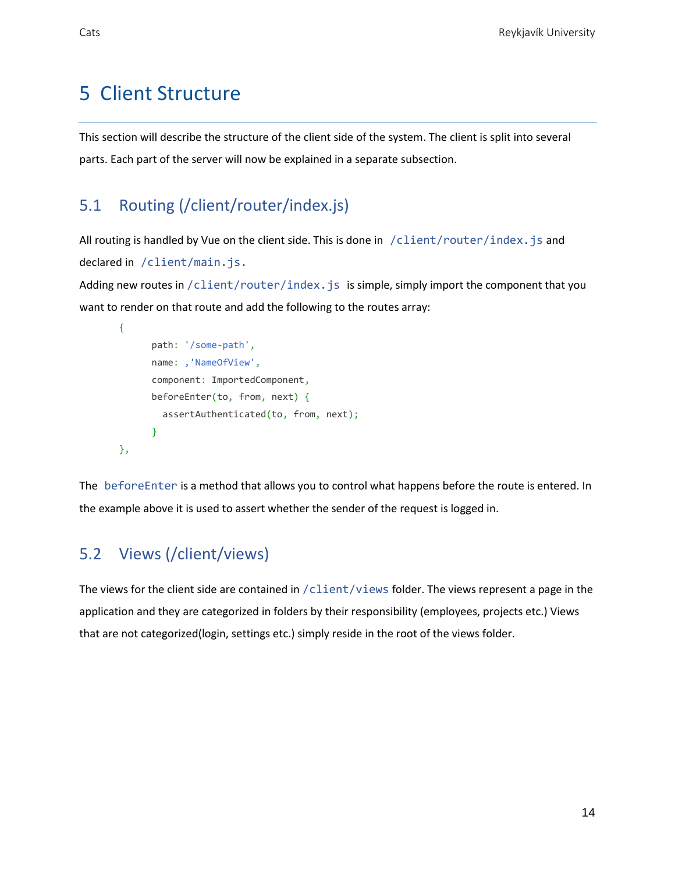# <span id="page-14-0"></span>5 Client Structure

This section will describe the structure of the client side of the system. The client is split into several parts. Each part of the server will now be explained in a separate subsection.

#### <span id="page-14-1"></span>5.1 Routing (/client/router/index.js)

All routing is handled by Vue on the client side. This is done in /client/router/index.js and declared in /client/main.js.

Adding new routes in  $/$ client/router/index. is is simple, simply import the component that you want to render on that route and add the following to the routes array:

```
{
      path: '/some-path',
      name: , 'NameOfView',
      component: ImportedComponent,
      beforeEnter(to, from, next) {
        assertAuthenticated(to, from, next);
       }
},
```
The beforeEnter is a method that allows you to control what happens before the route is entered. In the example above it is used to assert whether the sender of the request is logged in.

# <span id="page-14-2"></span>5.2 Views (/client/views)

The views for the client side are contained in /client/views folder. The views represent a page in the application and they are categorized in folders by their responsibility (employees, projects etc.) Views that are not categorized(login, settings etc.) simply reside in the root of the views folder.